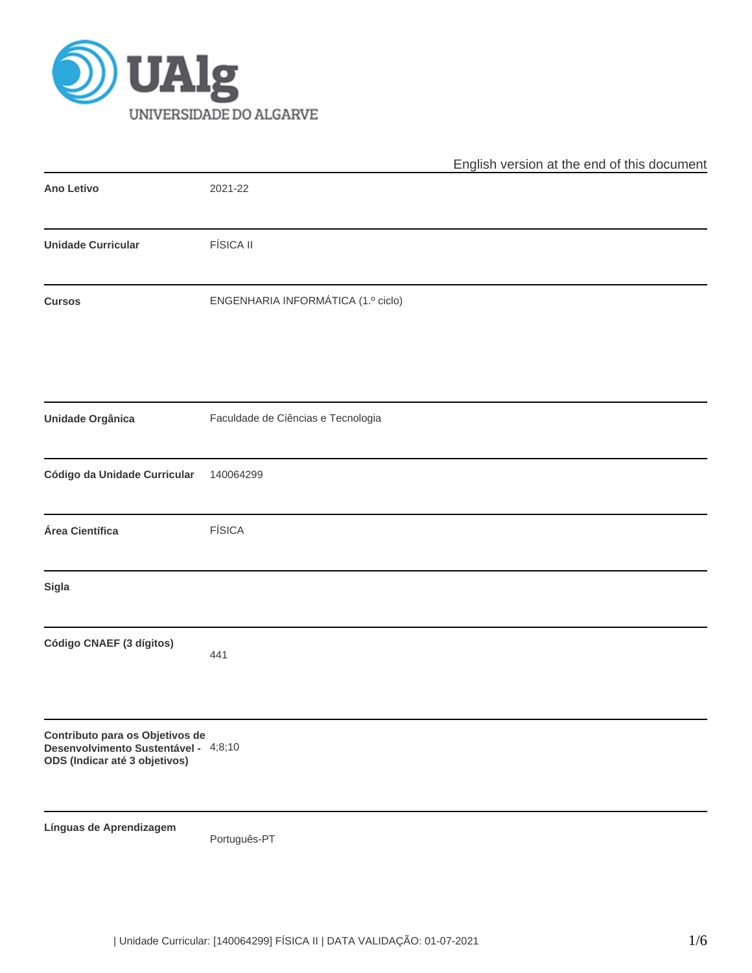

|                                                                                                          |                                    | English version at the end of this document |
|----------------------------------------------------------------------------------------------------------|------------------------------------|---------------------------------------------|
| Ano Letivo                                                                                               | 2021-22                            |                                             |
| <b>Unidade Curricular</b>                                                                                | <b>FÍSICA II</b>                   |                                             |
| <b>Cursos</b>                                                                                            | ENGENHARIA INFORMÁTICA (1.º ciclo) |                                             |
| Unidade Orgânica                                                                                         | Faculdade de Ciências e Tecnologia |                                             |
| Código da Unidade Curricular                                                                             | 140064299                          |                                             |
| Área Científica                                                                                          | <b>FÍSICA</b>                      |                                             |
| Sigla                                                                                                    |                                    |                                             |
| Código CNAEF (3 dígitos)                                                                                 | 441                                |                                             |
| Contributo para os Objetivos de<br>Desenvolvimento Sustentável - 4;8;10<br>ODS (Indicar até 3 objetivos) |                                    |                                             |
| Línguas de Aprendizagem                                                                                  | Português-PT                       |                                             |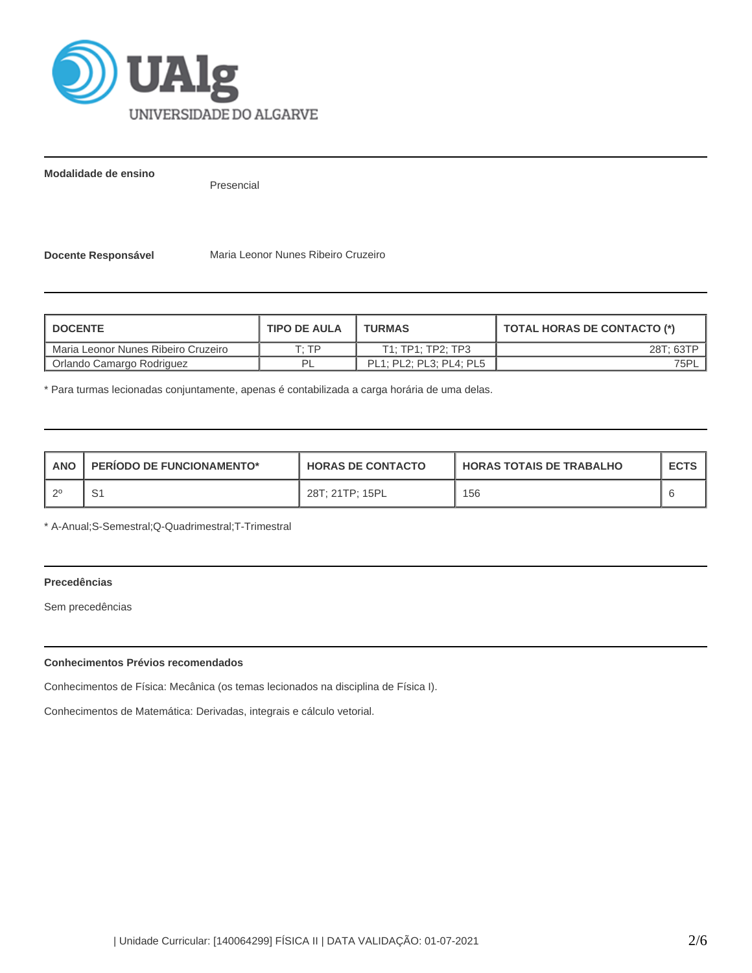

**Modalidade de ensino**

Presencial

**Docente Responsável** Maria Leonor Nunes Ribeiro Cruzeiro

| <b>I DOCENTE</b>                    | <b>TIPO DE AULA</b> | <b>TURMAS</b>           | TOTAL HORAS DE CONTACTO (*) |
|-------------------------------------|---------------------|-------------------------|-----------------------------|
| Maria Leonor Nunes Ribeiro Cruzeiro | T· TP               | T1: TP1: TP2: TP3       | 28T; 63TP                   |
| Orlando Camargo Rodriguez           | ום                  | PL1: PL2: PL3: PL4: PL5 | 75PL                        |

\* Para turmas lecionadas conjuntamente, apenas é contabilizada a carga horária de uma delas.

| <b>ANO</b> | <b>PERIODO DE FUNCIONAMENTO*</b> | <b>HORAS DE CONTACTO</b> | <b>I HORAS TOTAIS DE TRABALHO</b> | <b>ECTS</b> |
|------------|----------------------------------|--------------------------|-----------------------------------|-------------|
| ാറ         | ັ                                | 28T: 21TP: 15PL          | 156                               |             |

\* A-Anual;S-Semestral;Q-Quadrimestral;T-Trimestral

# **Precedências**

Sem precedências

# **Conhecimentos Prévios recomendados**

Conhecimentos de Física: Mecânica (os temas lecionados na disciplina de Física I).

Conhecimentos de Matemática: Derivadas, integrais e cálculo vetorial.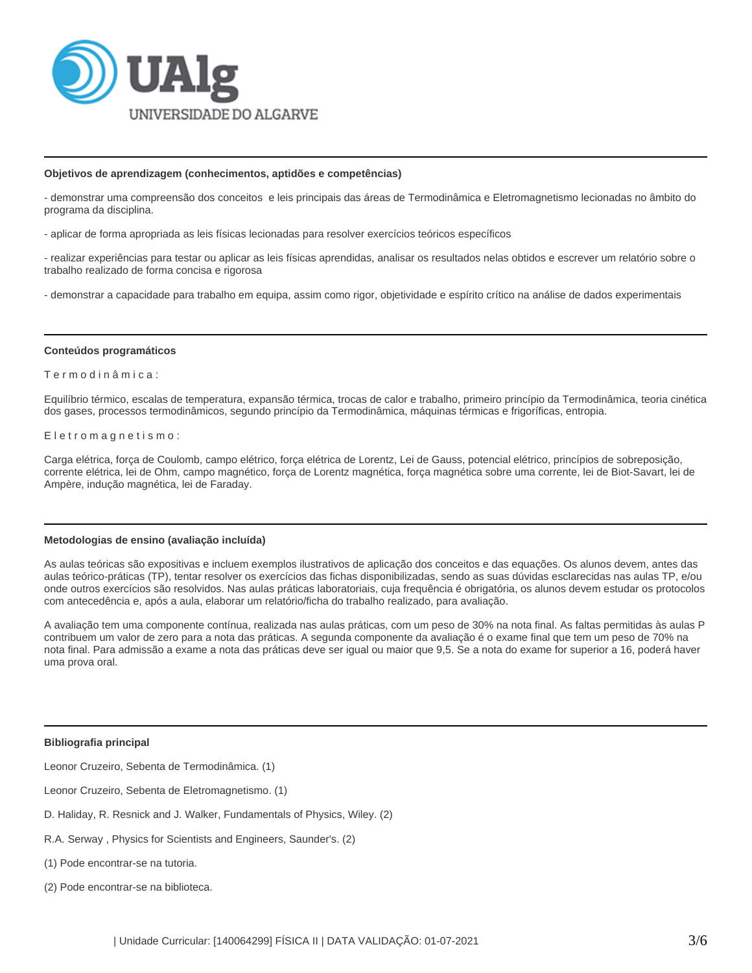

### **Objetivos de aprendizagem (conhecimentos, aptidões e competências)**

- demonstrar uma compreensão dos conceitos e leis principais das áreas de Termodinâmica e Eletromagnetismo lecionadas no âmbito do programa da disciplina.

- aplicar de forma apropriada as leis físicas lecionadas para resolver exercícios teóricos específicos

- realizar experiências para testar ou aplicar as leis físicas aprendidas, analisar os resultados nelas obtidos e escrever um relatório sobre o trabalho realizado de forma concisa e rigorosa

- demonstrar a capacidade para trabalho em equipa, assim como rigor, objetividade e espírito crítico na análise de dados experimentais

#### **Conteúdos programáticos**

#### T e r m o d i n â m i c a :

Equilíbrio térmico, escalas de temperatura, expansão térmica, trocas de calor e trabalho, primeiro princípio da Termodinâmica, teoria cinética dos gases, processos termodinâmicos, segundo princípio da Termodinâmica, máquinas térmicas e frigoríficas, entropia.

### Eletromagnetismo:

Carga elétrica, força de Coulomb, campo elétrico, força elétrica de Lorentz, Lei de Gauss, potencial elétrico, princípios de sobreposição, corrente elétrica, lei de Ohm, campo magnético, força de Lorentz magnética, força magnética sobre uma corrente, lei de Biot-Savart, lei de Ampère, indução magnética, lei de Faraday.

#### **Metodologias de ensino (avaliação incluída)**

As aulas teóricas são expositivas e incluem exemplos ilustrativos de aplicação dos conceitos e das equações. Os alunos devem, antes das aulas teórico-práticas (TP), tentar resolver os exercícios das fichas disponibilizadas, sendo as suas dúvidas esclarecidas nas aulas TP, e/ou onde outros exercícios são resolvidos. Nas aulas práticas laboratoriais, cuja frequência é obrigatória, os alunos devem estudar os protocolos com antecedência e, após a aula, elaborar um relatório/ficha do trabalho realizado, para avaliação.

A avaliação tem uma componente contínua, realizada nas aulas práticas, com um peso de 30% na nota final. As faltas permitidas às aulas P contribuem um valor de zero para a nota das práticas. A segunda componente da avaliação é o exame final que tem um peso de 70% na nota final. Para admissão a exame a nota das práticas deve ser igual ou maior que 9,5. Se a nota do exame for superior a 16, poderá haver uma prova oral.

#### **Bibliografia principal**

Leonor Cruzeiro, Sebenta de Termodinâmica. (1)

Leonor Cruzeiro, Sebenta de Eletromagnetismo. (1)

- D. Haliday, R. Resnick and J. Walker, Fundamentals of Physics, Wiley. (2)
- R.A. Serway , Physics for Scientists and Engineers, Saunder's. (2)
- (1) Pode encontrar-se na tutoria.
- (2) Pode encontrar-se na biblioteca.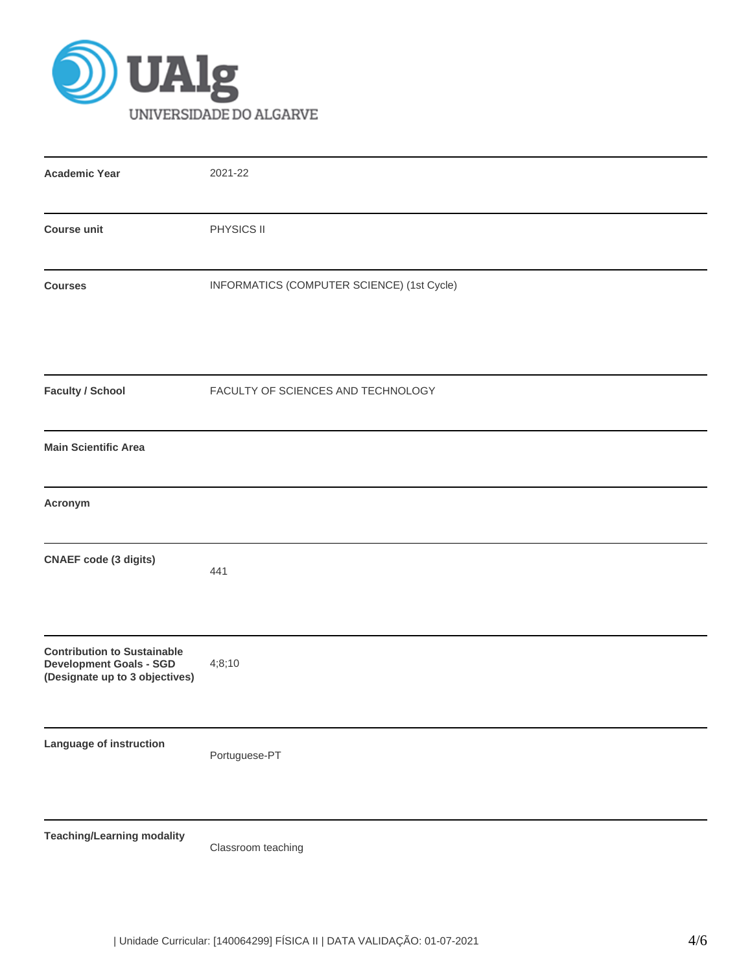

| <b>Academic Year</b>                                                                                   | 2021-22                                    |
|--------------------------------------------------------------------------------------------------------|--------------------------------------------|
| <b>Course unit</b>                                                                                     | PHYSICS II                                 |
| <b>Courses</b>                                                                                         | INFORMATICS (COMPUTER SCIENCE) (1st Cycle) |
| <b>Faculty / School</b>                                                                                | FACULTY OF SCIENCES AND TECHNOLOGY         |
| <b>Main Scientific Area</b>                                                                            |                                            |
| Acronym                                                                                                |                                            |
| <b>CNAEF</b> code (3 digits)                                                                           | 441                                        |
| <b>Contribution to Sustainable</b><br><b>Development Goals - SGD</b><br>(Designate up to 3 objectives) | 4;8;10                                     |
| Language of instruction                                                                                | Portuguese-PT                              |
| <b>Teaching/Learning modality</b>                                                                      | Classroom teaching                         |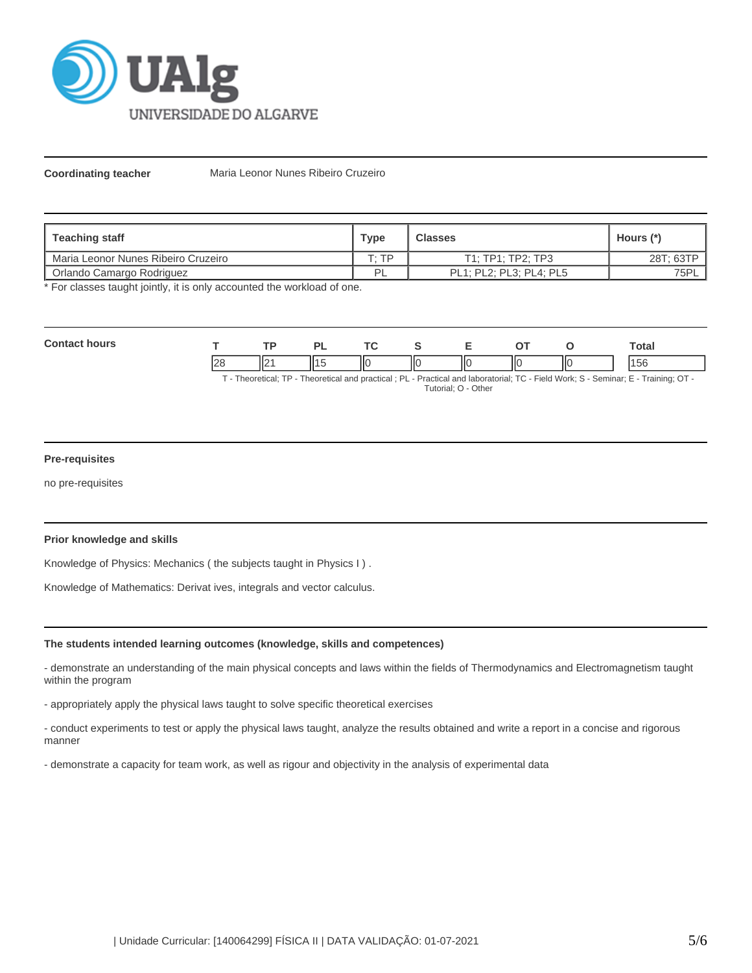

**Coordinating teacher** Maria Leonor Nunes Ribeiro Cruzeiro

| <b>Teaching staff</b>               | <b>Type</b> | <b>Classes</b>          | Hours (*) |
|-------------------------------------|-------------|-------------------------|-----------|
| Maria Leonor Nunes Ribeiro Cruzeiro | סד יד       | T1: TP1: TP2: TP3       | 28T; 63TP |
| Orlando Camargo Rodriguez           | ÞΙ<br>╺     | PL1; PL2; PL3; PL4; PL5 | 75PL      |

\* For classes taught jointly, it is only accounted the workload of one.

| Con<br>hours |    |                 | oı<br>- |    |   | - | ^™ |    | `otal      |
|--------------|----|-----------------|---------|----|---|---|----|----|------------|
|              | າເ | II <sub>2</sub> |         | НΟ | Ш |   | ШC | ΙЮ | $\epsilon$ |

T - Theoretical; TP - Theoretical and practical ; PL - Practical and laboratorial; TC - Field Work; S - Seminar; E - Training; OT - Tutorial; O - Other

# **Pre-requisites**

no pre-requisites

# **Prior knowledge and skills**

Knowledge of Physics: Mechanics ( the subjects taught in Physics I ) .

Knowledge of Mathematics: Derivat ives, integrals and vector calculus.

## **The students intended learning outcomes (knowledge, skills and competences)**

- demonstrate an understanding of the main physical concepts and laws within the fields of Thermodynamics and Electromagnetism taught within the program

- appropriately apply the physical laws taught to solve specific theoretical exercises

- conduct experiments to test or apply the physical laws taught, analyze the results obtained and write a report in a concise and rigorous manner

- demonstrate a capacity for team work, as well as rigour and objectivity in the analysis of experimental data